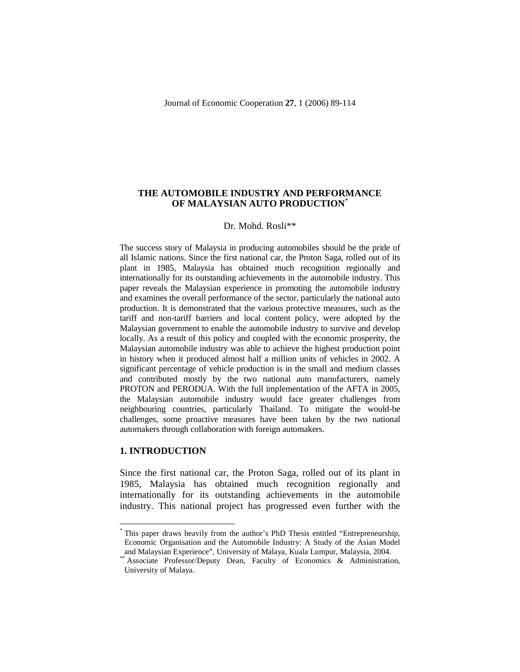## **THE AUTOMOBILE INDUSTRY AND PERFORMANCE OF MALAYSIAN AUTO PRODUCTION**\*

#### Dr. Mohd. Rosli\*\*

The success story of Malaysia in producing automobiles should be the pride of all Islamic nations. Since the first national car, the Proton Saga, rolled out of its plant in 1985, Malaysia has obtained much recognition regionally and internationally for its outstanding achievements in the automobile industry. This paper reveals the Malaysian experience in promoting the automobile industry and examines the overall performance of the sector, particularly the national auto production. It is demonstrated that the various protective measures, such as the tariff and non-tariff barriers and local content policy, were adopted by the Malaysian government to enable the automobile industry to survive and develop locally. As a result of this policy and coupled with the economic prosperity, the Malaysian automobile industry was able to achieve the highest production point in history when it produced almost half a million units of vehicles in 2002. A significant percentage of vehicle production is in the small and medium classes and contributed mostly by the two national auto manufacturers, namely PROTON and PERODUA. With the full implementation of the AFTA in 2005, the Malaysian automobile industry would face greater challenges from neighbouring countries, particularly Thailand. To mitigate the would-be challenges, some proactive measures have been taken by the two national automakers through collaboration with foreign automakers.

### **1. INTRODUCTION**

 $\overline{a}$ 

Since the first national car, the Proton Saga, rolled out of its plant in 1985, Malaysia has obtained much recognition regionally and internationally for its outstanding achievements in the automobile industry. This national project has progressed even further with the

<sup>\*</sup> This paper draws heavily from the author's PhD Thesis entitled "Entrepreneurship, Economic Organisation and the Automobile Industry: A Study of the Asian Model and Malaysian Experience", University of Malaya, Kuala Lumpur, Malaysia, 2004.

<sup>\*\*</sup> Associate Professor/Deputy Dean, Faculty of Economics & Administration, University of Malaya.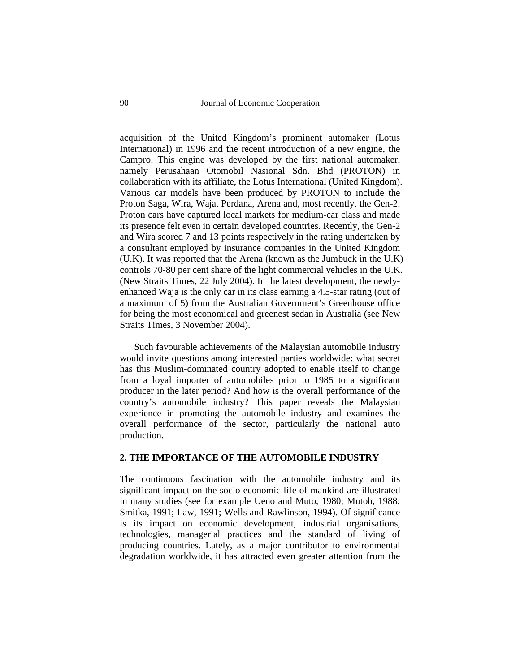acquisition of the United Kingdom's prominent automaker (Lotus International) in 1996 and the recent introduction of a new engine, the Campro. This engine was developed by the first national automaker, namely Perusahaan Otomobil Nasional Sdn. Bhd (PROTON) in collaboration with its affiliate, the Lotus International (United Kingdom). Various car models have been produced by PROTON to include the Proton Saga, Wira, Waja, Perdana, Arena and, most recently, the Gen-2. Proton cars have captured local markets for medium-car class and made its presence felt even in certain developed countries. Recently, the Gen-2 and Wira scored 7 and 13 points respectively in the rating undertaken by a consultant employed by insurance companies in the United Kingdom (U.K). It was reported that the Arena (known as the Jumbuck in the U.K) controls 70-80 per cent share of the light commercial vehicles in the U.K. (New Straits Times, 22 July 2004). In the latest development, the newlyenhanced Waja is the only car in its class earning a 4.5-star rating (out of a maximum of 5) from the Australian Government's Greenhouse office for being the most economical and greenest sedan in Australia (see New Straits Times, 3 November 2004).

Such favourable achievements of the Malaysian automobile industry would invite questions among interested parties worldwide: what secret has this Muslim-dominated country adopted to enable itself to change from a loyal importer of automobiles prior to 1985 to a significant producer in the later period? And how is the overall performance of the country's automobile industry? This paper reveals the Malaysian experience in promoting the automobile industry and examines the overall performance of the sector, particularly the national auto production.

## **2. THE IMPORTANCE OF THE AUTOMOBILE INDUSTRY**

The continuous fascination with the automobile industry and its significant impact on the socio-economic life of mankind are illustrated in many studies (see for example Ueno and Muto, 1980; Mutoh, 1988; Smitka, 1991; Law, 1991; Wells and Rawlinson, 1994). Of significance is its impact on economic development, industrial organisations, technologies, managerial practices and the standard of living of producing countries. Lately, as a major contributor to environmental degradation worldwide, it has attracted even greater attention from the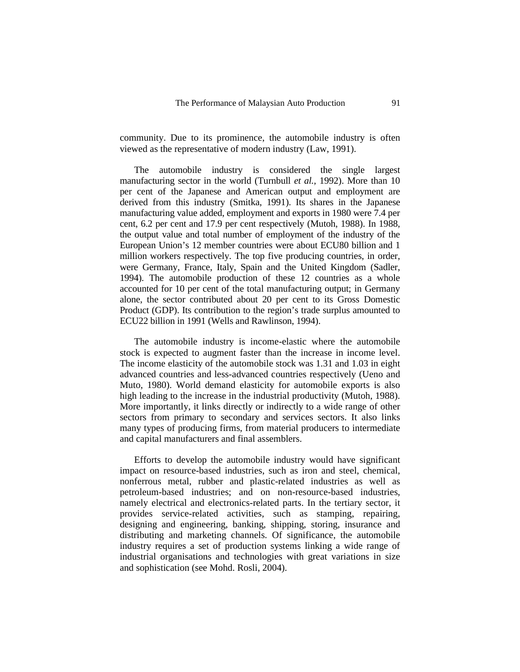community. Due to its prominence, the automobile industry is often viewed as the representative of modern industry (Law, 1991).

The automobile industry is considered the single largest manufacturing sector in the world (Turnbull *et al.,* 1992). More than 10 per cent of the Japanese and American output and employment are derived from this industry (Smitka, 1991). Its shares in the Japanese manufacturing value added, employment and exports in 1980 were 7.4 per cent, 6.2 per cent and 17.9 per cent respectively (Mutoh, 1988). In 1988, the output value and total number of employment of the industry of the European Union's 12 member countries were about ECU80 billion and 1 million workers respectively. The top five producing countries, in order, were Germany, France, Italy, Spain and the United Kingdom (Sadler, 1994). The automobile production of these 12 countries as a whole accounted for 10 per cent of the total manufacturing output; in Germany alone, the sector contributed about 20 per cent to its Gross Domestic Product (GDP). Its contribution to the region's trade surplus amounted to ECU22 billion in 1991 (Wells and Rawlinson, 1994).

The automobile industry is income-elastic where the automobile stock is expected to augment faster than the increase in income level. The income elasticity of the automobile stock was 1.31 and 1.03 in eight advanced countries and less-advanced countries respectively (Ueno and Muto, 1980). World demand elasticity for automobile exports is also high leading to the increase in the industrial productivity (Mutoh, 1988). More importantly, it links directly or indirectly to a wide range of other sectors from primary to secondary and services sectors. It also links many types of producing firms, from material producers to intermediate and capital manufacturers and final assemblers.

Efforts to develop the automobile industry would have significant impact on resource-based industries, such as iron and steel, chemical, nonferrous metal, rubber and plastic-related industries as well as petroleum-based industries; and on non-resource-based industries, namely electrical and electronics-related parts. In the tertiary sector, it provides service-related activities, such as stamping, repairing, designing and engineering, banking, shipping, storing, insurance and distributing and marketing channels. Of significance, the automobile industry requires a set of production systems linking a wide range of industrial organisations and technologies with great variations in size and sophistication (see Mohd. Rosli, 2004).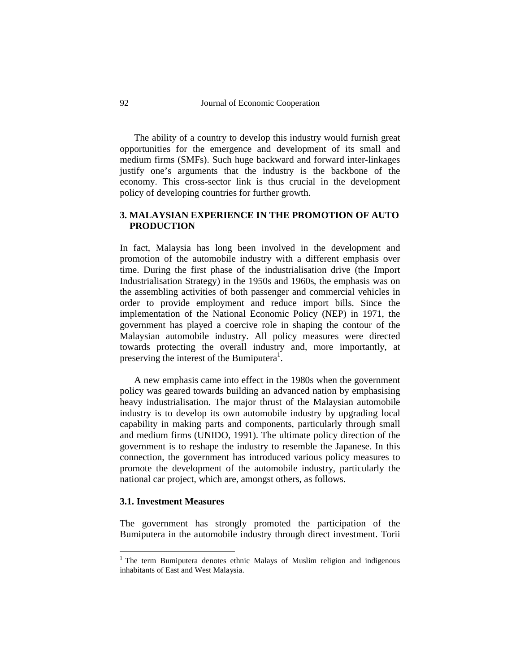The ability of a country to develop this industry would furnish great opportunities for the emergence and development of its small and medium firms (SMFs). Such huge backward and forward inter-linkages justify one's arguments that the industry is the backbone of the economy. This cross-sector link is thus crucial in the development policy of developing countries for further growth.

# **3. MALAYSIAN EXPERIENCE IN THE PROMOTION OF AUTO PRODUCTION**

In fact, Malaysia has long been involved in the development and promotion of the automobile industry with a different emphasis over time. During the first phase of the industrialisation drive (the Import Industrialisation Strategy) in the 1950s and 1960s, the emphasis was on the assembling activities of both passenger and commercial vehicles in order to provide employment and reduce import bills. Since the implementation of the National Economic Policy (NEP) in 1971, the government has played a coercive role in shaping the contour of the Malaysian automobile industry. All policy measures were directed towards protecting the overall industry and, more importantly, at preserving the interest of the Bumiputera<sup>1</sup>.

A new emphasis came into effect in the 1980s when the government policy was geared towards building an advanced nation by emphasising heavy industrialisation. The major thrust of the Malaysian automobile industry is to develop its own automobile industry by upgrading local capability in making parts and components, particularly through small and medium firms (UNIDO, 1991). The ultimate policy direction of the government is to reshape the industry to resemble the Japanese. In this connection, the government has introduced various policy measures to promote the development of the automobile industry, particularly the national car project, which are, amongst others, as follows.

## **3.1. Investment Measures**

The government has strongly promoted the participation of the Bumiputera in the automobile industry through direct investment. Torii

<sup>&</sup>lt;sup>1</sup> The term Bumiputera denotes ethnic Malays of Muslim religion and indigenous inhabitants of East and West Malaysia.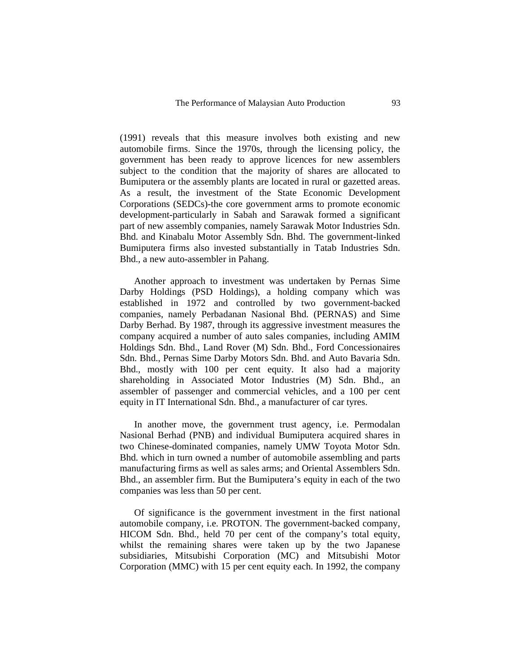(1991) reveals that this measure involves both existing and new automobile firms. Since the 1970s, through the licensing policy, the government has been ready to approve licences for new assemblers subject to the condition that the majority of shares are allocated to Bumiputera or the assembly plants are located in rural or gazetted areas. As a result, the investment of the State Economic Development Corporations (SEDCs)-the core government arms to promote economic development-particularly in Sabah and Sarawak formed a significant part of new assembly companies, namely Sarawak Motor Industries Sdn. Bhd. and Kinabalu Motor Assembly Sdn. Bhd. The government-linked Bumiputera firms also invested substantially in Tatab Industries Sdn. Bhd., a new auto-assembler in Pahang.

Another approach to investment was undertaken by Pernas Sime Darby Holdings (PSD Holdings), a holding company which was established in 1972 and controlled by two government-backed companies, namely Perbadanan Nasional Bhd. (PERNAS) and Sime Darby Berhad. By 1987, through its aggressive investment measures the company acquired a number of auto sales companies, including AMIM Holdings Sdn. Bhd., Land Rover (M) Sdn. Bhd., Ford Concessionaires Sdn. Bhd., Pernas Sime Darby Motors Sdn. Bhd. and Auto Bavaria Sdn. Bhd., mostly with 100 per cent equity. It also had a majority shareholding in Associated Motor Industries (M) Sdn. Bhd., an assembler of passenger and commercial vehicles, and a 100 per cent equity in IT International Sdn. Bhd., a manufacturer of car tyres.

In another move, the government trust agency, i.e. Permodalan Nasional Berhad (PNB) and individual Bumiputera acquired shares in two Chinese-dominated companies, namely UMW Toyota Motor Sdn. Bhd. which in turn owned a number of automobile assembling and parts manufacturing firms as well as sales arms; and Oriental Assemblers Sdn. Bhd., an assembler firm. But the Bumiputera's equity in each of the two companies was less than 50 per cent.

Of significance is the government investment in the first national automobile company, i.e. PROTON. The government-backed company, HICOM Sdn. Bhd., held 70 per cent of the company's total equity, whilst the remaining shares were taken up by the two Japanese subsidiaries, Mitsubishi Corporation (MC) and Mitsubishi Motor Corporation (MMC) with 15 per cent equity each. In 1992, the company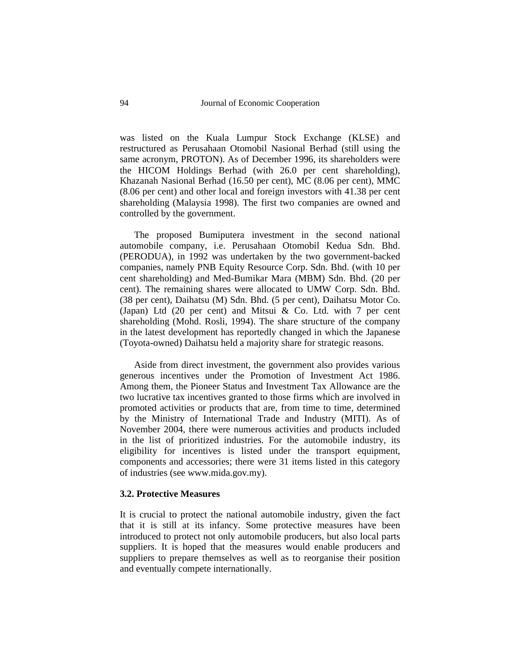was listed on the Kuala Lumpur Stock Exchange (KLSE) and restructured as Perusahaan Otomobil Nasional Berhad (still using the same acronym, PROTON). As of December 1996, its shareholders were the HICOM Holdings Berhad (with 26.0 per cent shareholding), Khazanah Nasional Berhad (16.50 per cent), MC (8.06 per cent), MMC (8.06 per cent) and other local and foreign investors with 41.38 per cent shareholding (Malaysia 1998). The first two companies are owned and controlled by the government.

The proposed Bumiputera investment in the second national automobile company, i.e. Perusahaan Otomobil Kedua Sdn. Bhd. (PERODUA), in 1992 was undertaken by the two government-backed companies, namely PNB Equity Resource Corp. Sdn. Bhd. (with 10 per cent shareholding) and Med-Bumikar Mara (MBM) Sdn. Bhd. (20 per cent). The remaining shares were allocated to UMW Corp. Sdn. Bhd. (38 per cent), Daihatsu (M) Sdn. Bhd. (5 per cent), Daihatsu Motor Co. (Japan) Ltd  $(20 \text{ per cent})$  and Mitsui & Co. Ltd. with 7 per cent shareholding (Mohd. Rosli, 1994). The share structure of the company in the latest development has reportedly changed in which the Japanese (Toyota-owned) Daihatsu held a majority share for strategic reasons.

Aside from direct investment, the government also provides various generous incentives under the Promotion of Investment Act 1986. Among them, the Pioneer Status and Investment Tax Allowance are the two lucrative tax incentives granted to those firms which are involved in promoted activities or products that are, from time to time, determined by the Ministry of International Trade and Industry (MITI). As of November 2004, there were numerous activities and products included in the list of prioritized industries. For the automobile industry, its eligibility for incentives is listed under the transport equipment, components and accessories; there were 31 items listed in this category of industries (see www.mida.gov.my).

#### **3.2. Protective Measures**

It is crucial to protect the national automobile industry, given the fact that it is still at its infancy. Some protective measures have been introduced to protect not only automobile producers, but also local parts suppliers. It is hoped that the measures would enable producers and suppliers to prepare themselves as well as to reorganise their position and eventually compete internationally.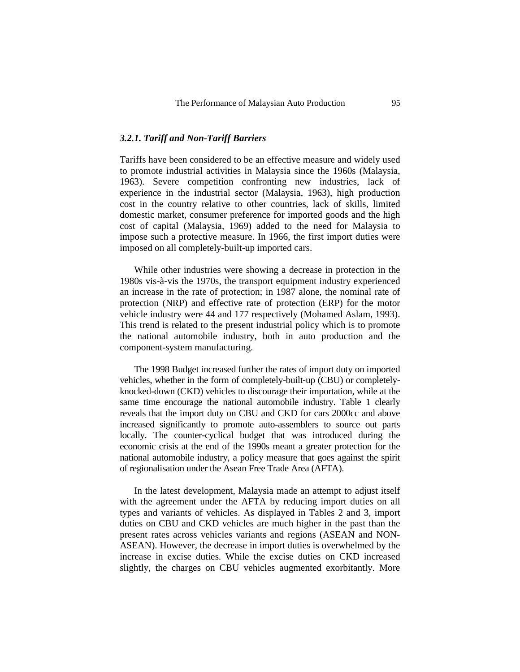### *3.2.1. Tariff and Non-Tariff Barriers*

Tariffs have been considered to be an effective measure and widely used to promote industrial activities in Malaysia since the 1960s (Malaysia, 1963). Severe competition confronting new industries, lack of experience in the industrial sector (Malaysia, 1963), high production cost in the country relative to other countries, lack of skills, limited domestic market, consumer preference for imported goods and the high cost of capital (Malaysia, 1969) added to the need for Malaysia to impose such a protective measure. In 1966, the first import duties were imposed on all completely-built-up imported cars.

While other industries were showing a decrease in protection in the 1980s vis-à-vis the 1970s, the transport equipment industry experienced an increase in the rate of protection; in 1987 alone, the nominal rate of protection (NRP) and effective rate of protection (ERP) for the motor vehicle industry were 44 and 177 respectively (Mohamed Aslam, 1993). This trend is related to the present industrial policy which is to promote the national automobile industry, both in auto production and the component-system manufacturing.

The 1998 Budget increased further the rates of import duty on imported vehicles, whether in the form of completely-built-up (CBU) or completelyknocked-down (CKD) vehicles to discourage their importation, while at the same time encourage the national automobile industry. Table 1 clearly reveals that the import duty on CBU and CKD for cars 2000cc and above increased significantly to promote auto-assemblers to source out parts locally. The counter-cyclical budget that was introduced during the economic crisis at the end of the 1990s meant a greater protection for the national automobile industry, a policy measure that goes against the spirit of regionalisation under the Asean Free Trade Area (AFTA).

In the latest development, Malaysia made an attempt to adjust itself with the agreement under the AFTA by reducing import duties on all types and variants of vehicles. As displayed in Tables 2 and 3, import duties on CBU and CKD vehicles are much higher in the past than the present rates across vehicles variants and regions (ASEAN and NON-ASEAN). However, the decrease in import duties is overwhelmed by the increase in excise duties. While the excise duties on CKD increased slightly, the charges on CBU vehicles augmented exorbitantly. More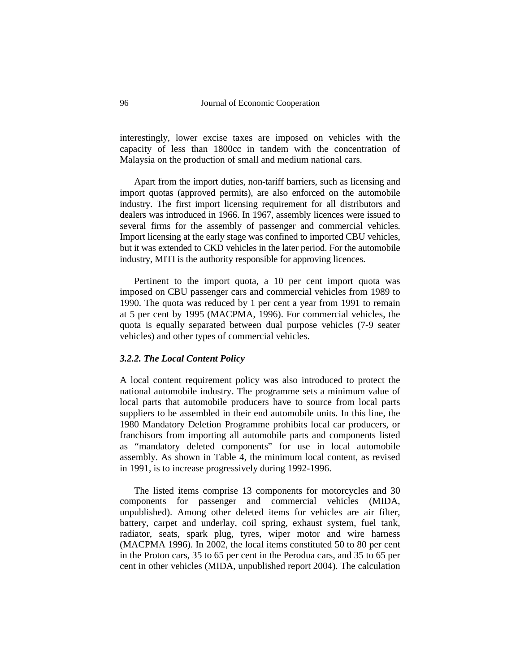interestingly, lower excise taxes are imposed on vehicles with the capacity of less than 1800cc in tandem with the concentration of Malaysia on the production of small and medium national cars.

Apart from the import duties, non-tariff barriers, such as licensing and import quotas (approved permits), are also enforced on the automobile industry. The first import licensing requirement for all distributors and dealers was introduced in 1966. In 1967, assembly licences were issued to several firms for the assembly of passenger and commercial vehicles. Import licensing at the early stage was confined to imported CBU vehicles, but it was extended to CKD vehicles in the later period. For the automobile industry, MITI is the authority responsible for approving licences.

Pertinent to the import quota, a 10 per cent import quota was imposed on CBU passenger cars and commercial vehicles from 1989 to 1990. The quota was reduced by 1 per cent a year from 1991 to remain at 5 per cent by 1995 (MACPMA, 1996). For commercial vehicles, the quota is equally separated between dual purpose vehicles (7-9 seater vehicles) and other types of commercial vehicles.

# *3.2.2. The Local Content Policy*

A local content requirement policy was also introduced to protect the national automobile industry. The programme sets a minimum value of local parts that automobile producers have to source from local parts suppliers to be assembled in their end automobile units. In this line, the 1980 Mandatory Deletion Programme prohibits local car producers, or franchisors from importing all automobile parts and components listed as "mandatory deleted components" for use in local automobile assembly. As shown in Table 4, the minimum local content, as revised in 1991, is to increase progressively during 1992-1996.

The listed items comprise 13 components for motorcycles and 30 components for passenger and commercial vehicles (MIDA, unpublished). Among other deleted items for vehicles are air filter, battery, carpet and underlay, coil spring, exhaust system, fuel tank, radiator, seats, spark plug, tyres, wiper motor and wire harness (MACPMA 1996). In 2002, the local items constituted 50 to 80 per cent in the Proton cars, 35 to 65 per cent in the Perodua cars, and 35 to 65 per cent in other vehicles (MIDA, unpublished report 2004). The calculation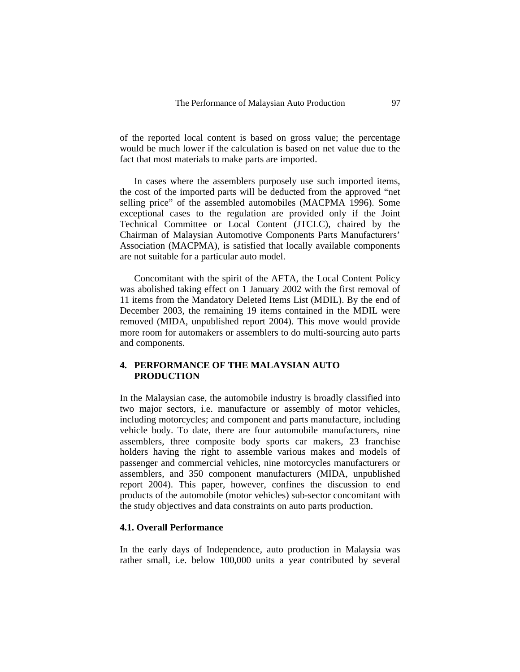of the reported local content is based on gross value; the percentage would be much lower if the calculation is based on net value due to the fact that most materials to make parts are imported.

In cases where the assemblers purposely use such imported items, the cost of the imported parts will be deducted from the approved "net selling price" of the assembled automobiles (MACPMA 1996). Some exceptional cases to the regulation are provided only if the Joint Technical Committee or Local Content (JTCLC), chaired by the Chairman of Malaysian Automotive Components Parts Manufacturers' Association (MACPMA), is satisfied that locally available components are not suitable for a particular auto model.

Concomitant with the spirit of the AFTA, the Local Content Policy was abolished taking effect on 1 January 2002 with the first removal of 11 items from the Mandatory Deleted Items List (MDIL). By the end of December 2003, the remaining 19 items contained in the MDIL were removed (MIDA, unpublished report 2004). This move would provide more room for automakers or assemblers to do multi-sourcing auto parts and components.

## **4. PERFORMANCE OF THE MALAYSIAN AUTO PRODUCTION**

In the Malaysian case, the automobile industry is broadly classified into two major sectors, i.e. manufacture or assembly of motor vehicles, including motorcycles; and component and parts manufacture, including vehicle body. To date, there are four automobile manufacturers, nine assemblers, three composite body sports car makers, 23 franchise holders having the right to assemble various makes and models of passenger and commercial vehicles, nine motorcycles manufacturers or assemblers, and 350 component manufacturers (MIDA, unpublished report 2004). This paper, however, confines the discussion to end products of the automobile (motor vehicles) sub-sector concomitant with the study objectives and data constraints on auto parts production.

# **4.1. Overall Performance**

In the early days of Independence, auto production in Malaysia was rather small, i.e. below 100,000 units a year contributed by several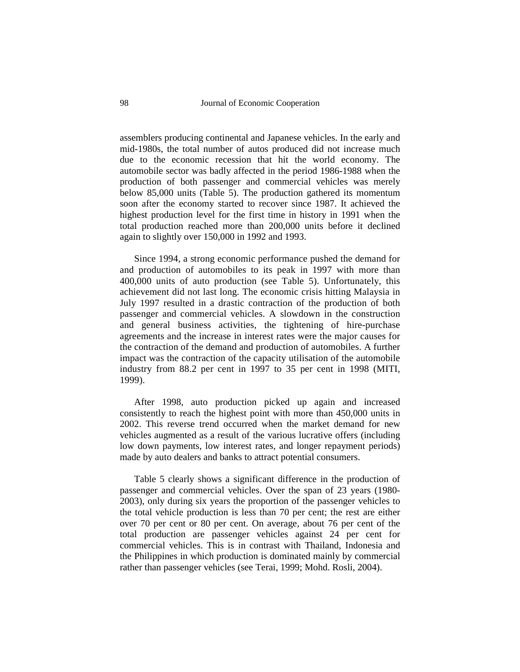assemblers producing continental and Japanese vehicles. In the early and mid-1980s, the total number of autos produced did not increase much due to the economic recession that hit the world economy. The automobile sector was badly affected in the period 1986-1988 when the production of both passenger and commercial vehicles was merely below 85,000 units (Table 5). The production gathered its momentum soon after the economy started to recover since 1987. It achieved the highest production level for the first time in history in 1991 when the total production reached more than 200,000 units before it declined again to slightly over 150,000 in 1992 and 1993.

Since 1994, a strong economic performance pushed the demand for and production of automobiles to its peak in 1997 with more than 400,000 units of auto production (see Table 5). Unfortunately, this achievement did not last long. The economic crisis hitting Malaysia in July 1997 resulted in a drastic contraction of the production of both passenger and commercial vehicles. A slowdown in the construction and general business activities, the tightening of hire-purchase agreements and the increase in interest rates were the major causes for the contraction of the demand and production of automobiles. A further impact was the contraction of the capacity utilisation of the automobile industry from 88.2 per cent in 1997 to 35 per cent in 1998 (MITI, 1999).

After 1998, auto production picked up again and increased consistently to reach the highest point with more than 450,000 units in 2002. This reverse trend occurred when the market demand for new vehicles augmented as a result of the various lucrative offers (including low down payments, low interest rates, and longer repayment periods) made by auto dealers and banks to attract potential consumers.

Table 5 clearly shows a significant difference in the production of passenger and commercial vehicles. Over the span of 23 years (1980- 2003), only during six years the proportion of the passenger vehicles to the total vehicle production is less than 70 per cent; the rest are either over 70 per cent or 80 per cent. On average, about 76 per cent of the total production are passenger vehicles against 24 per cent for commercial vehicles. This is in contrast with Thailand, Indonesia and the Philippines in which production is dominated mainly by commercial rather than passenger vehicles (see Terai, 1999; Mohd. Rosli, 2004).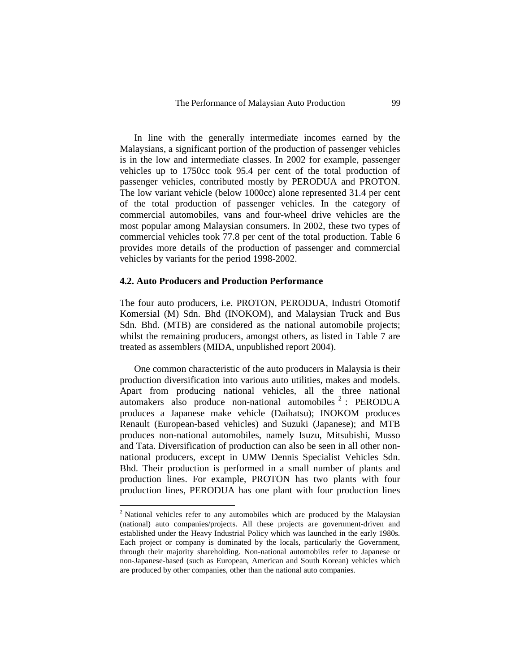In line with the generally intermediate incomes earned by the Malaysians, a significant portion of the production of passenger vehicles is in the low and intermediate classes. In 2002 for example, passenger vehicles up to 1750cc took 95.4 per cent of the total production of passenger vehicles, contributed mostly by PERODUA and PROTON. The low variant vehicle (below 1000cc) alone represented 31.4 per cent of the total production of passenger vehicles. In the category of commercial automobiles, vans and four-wheel drive vehicles are the most popular among Malaysian consumers. In 2002, these two types of commercial vehicles took 77.8 per cent of the total production. Table 6 provides more details of the production of passenger and commercial vehicles by variants for the period 1998-2002.

## **4.2. Auto Producers and Production Performance**

The four auto producers, i.e. PROTON, PERODUA, Industri Otomotif Komersial (M) Sdn. Bhd (INOKOM), and Malaysian Truck and Bus Sdn. Bhd. (MTB) are considered as the national automobile projects; whilst the remaining producers, amongst others, as listed in Table 7 are treated as assemblers (MIDA, unpublished report 2004).

One common characteristic of the auto producers in Malaysia is their production diversification into various auto utilities, makes and models. Apart from producing national vehicles, all the three national automakers also produce non-national automobiles  $2$ : PERODUA produces a Japanese make vehicle (Daihatsu); INOKOM produces Renault (European-based vehicles) and Suzuki (Japanese); and MTB produces non-national automobiles, namely Isuzu, Mitsubishi, Musso and Tata. Diversification of production can also be seen in all other nonnational producers, except in UMW Dennis Specialist Vehicles Sdn. Bhd. Their production is performed in a small number of plants and production lines. For example, PROTON has two plants with four production lines, PERODUA has one plant with four production lines

<sup>&</sup>lt;sup>2</sup> National vehicles refer to any automobiles which are produced by the Malaysian (national) auto companies/projects. All these projects are government-driven and established under the Heavy Industrial Policy which was launched in the early 1980s. Each project or company is dominated by the locals, particularly the Government, through their majority shareholding. Non-national automobiles refer to Japanese or non-Japanese-based (such as European, American and South Korean) vehicles which are produced by other companies, other than the national auto companies.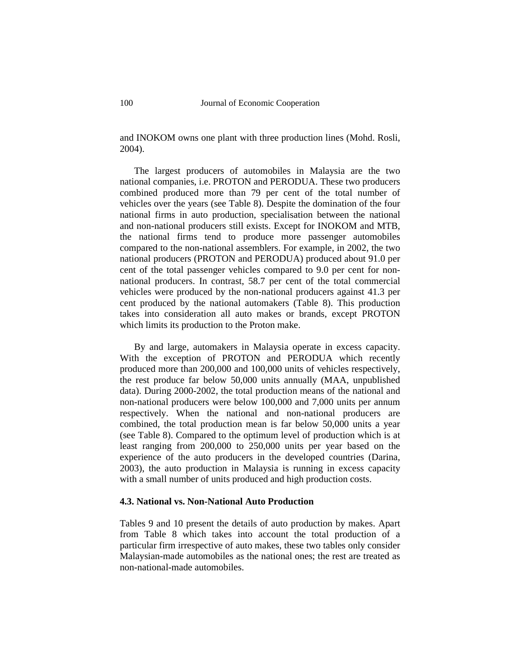and INOKOM owns one plant with three production lines (Mohd. Rosli, 2004).

The largest producers of automobiles in Malaysia are the two national companies, i.e. PROTON and PERODUA. These two producers combined produced more than 79 per cent of the total number of vehicles over the years (see Table 8). Despite the domination of the four national firms in auto production, specialisation between the national and non-national producers still exists. Except for INOKOM and MTB, the national firms tend to produce more passenger automobiles compared to the non-national assemblers. For example, in 2002, the two national producers (PROTON and PERODUA) produced about 91.0 per cent of the total passenger vehicles compared to 9.0 per cent for nonnational producers. In contrast, 58.7 per cent of the total commercial vehicles were produced by the non-national producers against 41.3 per cent produced by the national automakers (Table 8). This production takes into consideration all auto makes or brands, except PROTON which limits its production to the Proton make.

By and large, automakers in Malaysia operate in excess capacity. With the exception of PROTON and PERODUA which recently produced more than 200,000 and 100,000 units of vehicles respectively, the rest produce far below 50,000 units annually (MAA, unpublished data). During 2000-2002, the total production means of the national and non-national producers were below 100,000 and 7,000 units per annum respectively. When the national and non-national producers are combined, the total production mean is far below 50,000 units a year (see Table 8). Compared to the optimum level of production which is at least ranging from 200,000 to 250,000 units per year based on the experience of the auto producers in the developed countries (Darina, 2003), the auto production in Malaysia is running in excess capacity with a small number of units produced and high production costs.

## **4.3. National vs. Non-National Auto Production**

Tables 9 and 10 present the details of auto production by makes. Apart from Table 8 which takes into account the total production of a particular firm irrespective of auto makes, these two tables only consider Malaysian-made automobiles as the national ones; the rest are treated as non-national-made automobiles.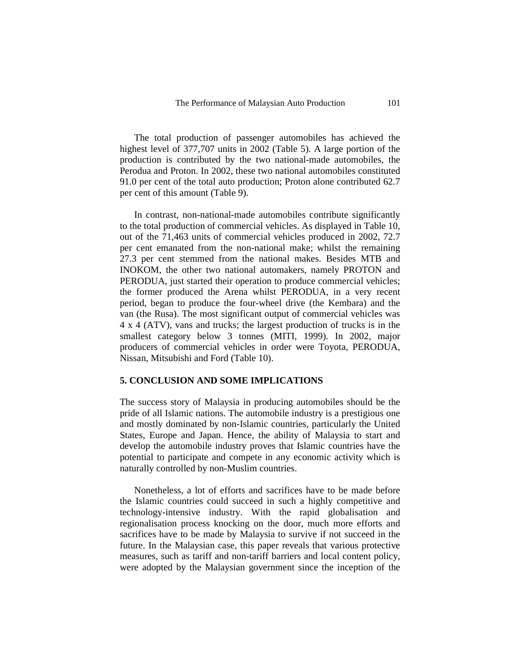The total production of passenger automobiles has achieved the highest level of 377,707 units in 2002 (Table 5). A large portion of the production is contributed by the two national-made automobiles, the Perodua and Proton. In 2002, these two national automobiles constituted 91.0 per cent of the total auto production; Proton alone contributed 62.7 per cent of this amount (Table 9).

In contrast, non-national-made automobiles contribute significantly to the total production of commercial vehicles. As displayed in Table 10, out of the 71,463 units of commercial vehicles produced in 2002, 72.7 per cent emanated from the non-national make; whilst the remaining 27.3 per cent stemmed from the national makes. Besides MTB and INOKOM, the other two national automakers, namely PROTON and PERODUA, just started their operation to produce commercial vehicles; the former produced the Arena whilst PERODUA, in a very recent period, began to produce the four-wheel drive (the Kembara) and the van (the Rusa). The most significant output of commercial vehicles was 4 x 4 (ATV), vans and trucks; the largest production of trucks is in the smallest category below 3 tonnes (MITI, 1999). In 2002, major producers of commercial vehicles in order were Toyota, PERODUA, Nissan, Mitsubishi and Ford (Table 10).

### **5. CONCLUSION AND SOME IMPLICATIONS**

The success story of Malaysia in producing automobiles should be the pride of all Islamic nations. The automobile industry is a prestigious one and mostly dominated by non-Islamic countries, particularly the United States, Europe and Japan. Hence, the ability of Malaysia to start and develop the automobile industry proves that Islamic countries have the potential to participate and compete in any economic activity which is naturally controlled by non-Muslim countries.

Nonetheless, a lot of efforts and sacrifices have to be made before the Islamic countries could succeed in such a highly competitive and technology-intensive industry. With the rapid globalisation and regionalisation process knocking on the door, much more efforts and sacrifices have to be made by Malaysia to survive if not succeed in the future. In the Malaysian case, this paper reveals that various protective measures, such as tariff and non-tariff barriers and local content policy, were adopted by the Malaysian government since the inception of the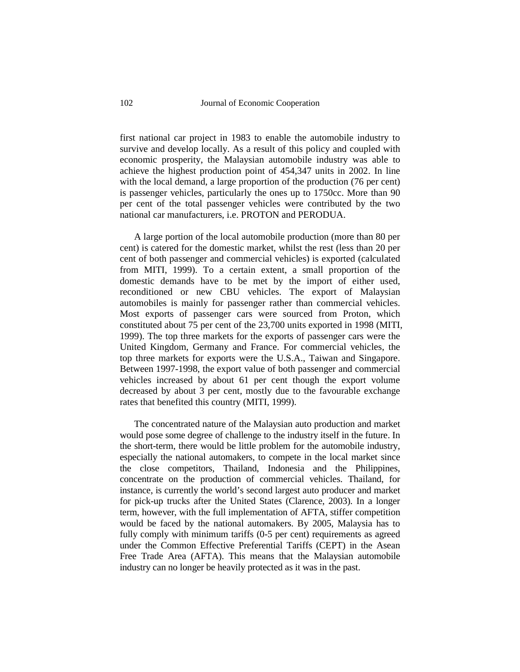first national car project in 1983 to enable the automobile industry to survive and develop locally. As a result of this policy and coupled with economic prosperity, the Malaysian automobile industry was able to achieve the highest production point of 454,347 units in 2002. In line with the local demand, a large proportion of the production (76 per cent) is passenger vehicles, particularly the ones up to 1750cc. More than 90 per cent of the total passenger vehicles were contributed by the two national car manufacturers, i.e. PROTON and PERODUA.

A large portion of the local automobile production (more than 80 per cent) is catered for the domestic market, whilst the rest (less than 20 per cent of both passenger and commercial vehicles) is exported (calculated from MITI, 1999). To a certain extent, a small proportion of the domestic demands have to be met by the import of either used, reconditioned or new CBU vehicles. The export of Malaysian automobiles is mainly for passenger rather than commercial vehicles. Most exports of passenger cars were sourced from Proton, which constituted about 75 per cent of the 23,700 units exported in 1998 (MITI, 1999). The top three markets for the exports of passenger cars were the United Kingdom, Germany and France. For commercial vehicles, the top three markets for exports were the U.S.A., Taiwan and Singapore. Between 1997-1998, the export value of both passenger and commercial vehicles increased by about 61 per cent though the export volume decreased by about 3 per cent, mostly due to the favourable exchange rates that benefited this country (MITI, 1999).

The concentrated nature of the Malaysian auto production and market would pose some degree of challenge to the industry itself in the future. In the short-term, there would be little problem for the automobile industry, especially the national automakers, to compete in the local market since the close competitors, Thailand, Indonesia and the Philippines, concentrate on the production of commercial vehicles. Thailand, for instance, is currently the world's second largest auto producer and market for pick-up trucks after the United States (Clarence, 2003). In a longer term, however, with the full implementation of AFTA, stiffer competition would be faced by the national automakers. By 2005, Malaysia has to fully comply with minimum tariffs (0-5 per cent) requirements as agreed under the Common Effective Preferential Tariffs (CEPT) in the Asean Free Trade Area (AFTA). This means that the Malaysian automobile industry can no longer be heavily protected as it was in the past.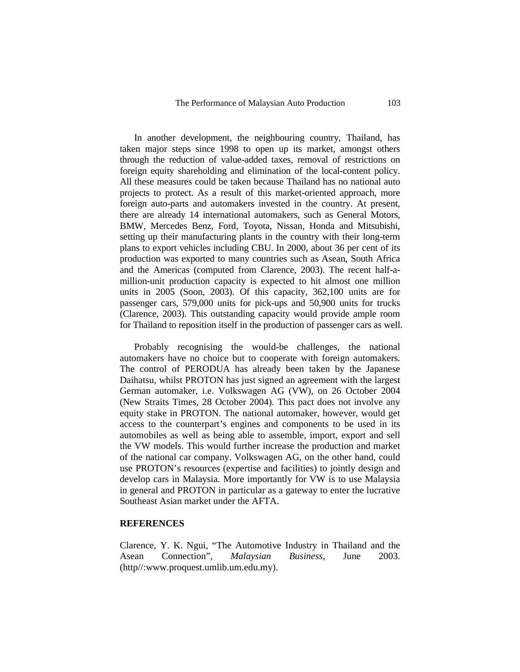In another development, the neighbouring country, Thailand, has taken major steps since 1998 to open up its market, amongst others through the reduction of value-added taxes, removal of restrictions on foreign equity shareholding and elimination of the local-content policy. All these measures could be taken because Thailand has no national auto projects to protect. As a result of this market-oriented approach, more foreign auto-parts and automakers invested in the country. At present, there are already 14 international automakers, such as General Motors, BMW, Mercedes Benz, Ford, Toyota, Nissan, Honda and Mitsubishi, setting up their manufacturing plants in the country with their long-term plans to export vehicles including CBU. In 2000, about 36 per cent of its production was exported to many countries such as Asean, South Africa and the Americas (computed from Clarence, 2003). The recent half-amillion-unit production capacity is expected to hit almost one million units in 2005 (Soon, 2003). Of this capacity, 362,100 units are for passenger cars, 579,000 units for pick-ups and 50,900 units for trucks (Clarence, 2003). This outstanding capacity would provide ample room for Thailand to reposition itself in the production of passenger cars as well.

Probably recognising the would-be challenges, the national automakers have no choice but to cooperate with foreign automakers. The control of PERODUA has already been taken by the Japanese Daihatsu, whilst PROTON has just signed an agreement with the largest German automaker, i.e. Volkswagen AG (VW), on 26 October 2004 (New Straits Times, 28 October 2004). This pact does not involve any equity stake in PROTON. The national automaker, however, would get access to the counterpart's engines and components to be used in its automobiles as well as being able to assemble, import, export and sell the VW models. This would further increase the production and market of the national car company. Volkswagen AG, on the other hand, could use PROTON's resources (expertise and facilities) to jointly design and develop cars in Malaysia. More importantly for VW is to use Malaysia in general and PROTON in particular as a gateway to enter the lucrative Southeast Asian market under the AFTA.

### **REFERENCES**

Clarence, Y. K. Ngui, "The Automotive Industry in Thailand and the Asean Connection", *Malaysian Business*, June 2003. (http//:www.proquest.umlib.um.edu.my).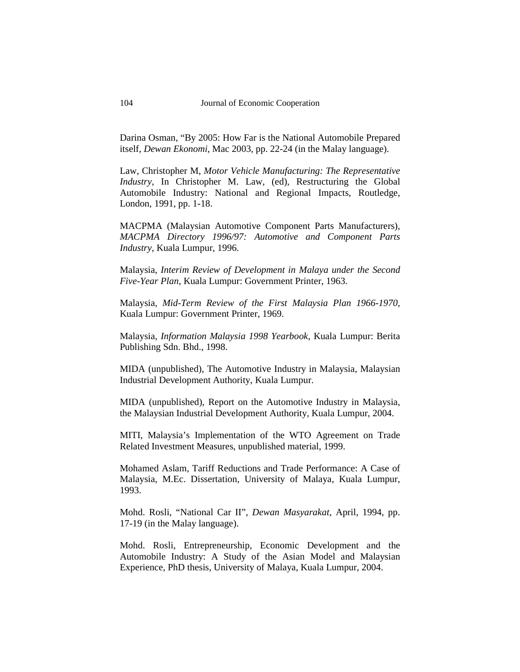Darina Osman, "By 2005: How Far is the National Automobile Prepared itself, *Dewan Ekonomi*, Mac 2003, pp. 22-24 (in the Malay language).

Law, Christopher M, *Motor Vehicle Manufacturing: The Representative Industry*, In Christopher M. Law, (ed), Restructuring the Global Automobile Industry: National and Regional Impacts, Routledge, London, 1991, pp. 1-18.

MACPMA (Malaysian Automotive Component Parts Manufacturers), *MACPMA Directory 1996/97: Automotive and Component Parts Industry*, Kuala Lumpur, 1996.

Malaysia, *Interim Review of Development in Malaya under the Second Five-Year Plan*, Kuala Lumpur: Government Printer, 1963.

Malaysia, *Mid-Term Review of the First Malaysia Plan 1966-1970*, Kuala Lumpur: Government Printer, 1969.

Malaysia, *Information Malaysia 1998 Yearbook*, Kuala Lumpur: Berita Publishing Sdn. Bhd., 1998.

MIDA (unpublished), The Automotive Industry in Malaysia, Malaysian Industrial Development Authority, Kuala Lumpur.

MIDA (unpublished), Report on the Automotive Industry in Malaysia, the Malaysian Industrial Development Authority, Kuala Lumpur, 2004.

MITI, Malaysia's Implementation of the WTO Agreement on Trade Related Investment Measures, unpublished material, 1999.

Mohamed Aslam, Tariff Reductions and Trade Performance: A Case of Malaysia, M.Ec. Dissertation, University of Malaya, Kuala Lumpur, 1993.

Mohd. Rosli, "National Car II", *Dewan Masyarakat*, April, 1994, pp. 17-19 (in the Malay language).

Mohd. Rosli, Entrepreneurship, Economic Development and the Automobile Industry: A Study of the Asian Model and Malaysian Experience, PhD thesis, University of Malaya, Kuala Lumpur, 2004.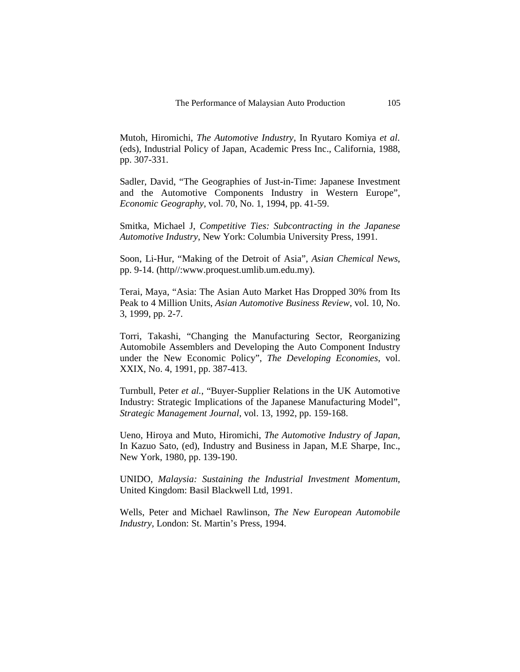Mutoh, Hiromichi, *The Automotive Industry*, In Ryutaro Komiya *et al.* (eds), Industrial Policy of Japan, Academic Press Inc., California, 1988, pp. 307-331.

Sadler, David, "The Geographies of Just-in-Time: Japanese Investment and the Automotive Components Industry in Western Europe", *Economic Geography*, vol. 70, No. 1, 1994, pp. 41-59.

Smitka, Michael J, *Competitive Ties: Subcontracting in the Japanese Automotive Industry*, New York: Columbia University Press, 1991.

Soon, Li-Hur, "Making of the Detroit of Asia", *Asian Chemical News*, pp. 9-14. (http//:www.proquest.umlib.um.edu.my).

Terai, Maya, "Asia: The Asian Auto Market Has Dropped 30% from Its Peak to 4 Million Units, *Asian Automotive Business Review*, vol. 10, No. 3, 1999, pp. 2-7.

Torri, Takashi, "Changing the Manufacturing Sector, Reorganizing Automobile Assemblers and Developing the Auto Component Industry under the New Economic Policy", *The Developing Economies*, vol. XXIX, No. 4, 1991, pp. 387-413.

Turnbull, Peter *et al.*, "Buyer-Supplier Relations in the UK Automotive Industry: Strategic Implications of the Japanese Manufacturing Model", *Strategic Management Journal*, vol. 13, 1992, pp. 159-168.

Ueno, Hiroya and Muto, Hiromichi, *The Automotive Industry of Japan*, In Kazuo Sato, (ed), Industry and Business in Japan, M.E Sharpe, Inc., New York, 1980, pp. 139-190.

UNIDO, *Malaysia: Sustaining the Industrial Investment Momentum*, United Kingdom: Basil Blackwell Ltd, 1991.

Wells, Peter and Michael Rawlinson, *The New European Automobile Industry*, London: St. Martin's Press, 1994.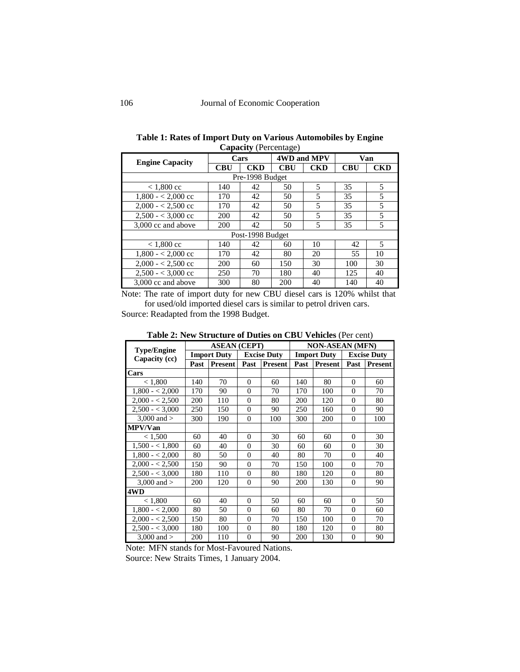| <b>Engine Capacity</b> |     | Cars             | 4WD and MPV |            |     | Van        |
|------------------------|-----|------------------|-------------|------------|-----|------------|
|                        | CBU | <b>CKD</b>       | <b>CBU</b>  | <b>CKD</b> | CBU | <b>CKD</b> |
|                        |     | Pre-1998 Budget  |             |            |     |            |
| $< 1,800$ cc           | 140 | 42               | 50          | 5          | 35  | 5          |
| $1,800 - 2,000$ cc     | 170 | 42               | 50          | 5          | 35  | 5          |
| $2,000 - 2,500$ cc     | 170 | 42               | 50          | 5          | 35  | 5          |
| $2,500 - 3,000$ cc     | 200 | 42               | 50          | 5          | 35  | 5          |
| 3,000 cc and above     | 200 | 42               | 50          | 5          | 35  | 5          |
|                        |     | Post-1998 Budget |             |            |     |            |
| $< 1,800 \text{ cc}$   | 140 | 42               | 60          | 10         | 42  | 5          |
| $1,800 - 2,000$ cc     | 170 | 42               | 80          | 20         | 55  | 10         |
| $2,000 - 2,500$ cc     | 200 | 60               | 150         | 30         | 100 | 30         |
| $2,500 - 3,000$ cc     | 250 | 70               | 180         | 40         | 125 | 40         |
| 3,000 cc and above     | 300 | 80               | 200         | 40         | 140 | 40         |

| Table 1: Rates of Import Duty on Various Automobiles by Engine |  |
|----------------------------------------------------------------|--|
| <b>Capacity</b> (Percentage)                                   |  |

Note: The rate of import duty for new CBU diesel cars is 120% whilst that for used/old imported diesel cars is similar to petrol driven cars.

Source: Readapted from the 1998 Budget.

|                    |      |                     |                |                    | <b>There Even</b> bu acture of <i>D</i> attes on ODC $\tau$ concrete $\tau$ contri |                        |                |                    |  |  |  |  |
|--------------------|------|---------------------|----------------|--------------------|------------------------------------------------------------------------------------|------------------------|----------------|--------------------|--|--|--|--|
| <b>Type/Engine</b> |      | <b>ASEAN (CEPT)</b> |                |                    |                                                                                    | <b>NON-ASEAN (MFN)</b> |                |                    |  |  |  |  |
| Capacity (cc)      |      | <b>Import Duty</b>  |                | <b>Excise Duty</b> |                                                                                    | <b>Import Duty</b>     |                | <b>Excise Duty</b> |  |  |  |  |
|                    | Past | <b>Present</b>      | Past           | Present            | Past                                                                               | <b>Present</b>         | Past           | <b>Present</b>     |  |  |  |  |
| Cars               |      |                     |                |                    |                                                                                    |                        |                |                    |  |  |  |  |
| < 1,800            | 140  | 70                  | $\Omega$       | 60                 | 140                                                                                | 80                     | $\Omega$       | 60                 |  |  |  |  |
| $1,800 - 2,000$    | 170  | 90                  | $\Omega$       | 70                 | 170                                                                                | 100                    | $\Omega$       | 70                 |  |  |  |  |
| $2,000 - 2,500$    | 200  | 110                 | $\overline{0}$ | 80                 | 200                                                                                | 120                    | $\Omega$       | 80                 |  |  |  |  |
| $2,500 - 3,000$    | 250  | 150                 | $\overline{0}$ | 90                 | 250                                                                                | 160                    | $\Omega$       | 90                 |  |  |  |  |
| 3,000 and $>$      | 300  | 190                 | $\overline{0}$ | 100                | 300                                                                                | 200                    | $\Omega$       | 100                |  |  |  |  |
| MPV/Van            |      |                     |                |                    |                                                                                    |                        |                |                    |  |  |  |  |
| < 1,500            | 60   | 40                  | $\overline{0}$ | 30                 | 60                                                                                 | 60                     | $\Omega$       | 30                 |  |  |  |  |
| $1,500 - 1,800$    | 60   | 40                  | $\overline{0}$ | 30                 | 60                                                                                 | 60                     | $\Omega$       | 30                 |  |  |  |  |
| $1,800 - 2,000$    | 80   | 50                  | $\overline{0}$ | 40                 | 80                                                                                 | 70                     | $\Omega$       | 40                 |  |  |  |  |
| $2,000 - 2,500$    | 150  | 90                  | $\Omega$       | 70                 | 150                                                                                | 100                    | $\Omega$       | 70                 |  |  |  |  |
| $2,500 - 3,000$    | 180  | 110                 | $\Omega$       | 80                 | 180                                                                                | 120                    | $\Omega$       | 80                 |  |  |  |  |
| 3,000 and $>$      | 200  | 120                 | $\overline{0}$ | 90                 | 200                                                                                | 130                    | $\Omega$       | 90                 |  |  |  |  |
| 4WD                |      |                     |                |                    |                                                                                    |                        |                |                    |  |  |  |  |
| < 1,800            | 60   | 40                  | $\Omega$       | 50                 | 60                                                                                 | 60                     | $\Omega$       | 50                 |  |  |  |  |
| $1,800 - 2,000$    | 80   | 50                  | $\overline{0}$ | 60                 | 80                                                                                 | 70                     | $\Omega$       | 60                 |  |  |  |  |
| $2,000 - 2,500$    | 150  | 80                  | $\Omega$       | 70                 | 150                                                                                | 100                    | $\Omega$       | 70                 |  |  |  |  |
| $2,500 - 3,000$    | 180  | 100                 | $\overline{0}$ | 80                 | 180                                                                                | 120                    | $\Omega$       | 80                 |  |  |  |  |
| 3,000 and $>$      | 200  | 110                 | $\overline{0}$ | 90                 | 200                                                                                | 130                    | $\overline{0}$ | 90                 |  |  |  |  |

**Table 2: New Structure of Duties on CBU Vehicles** (Per cent)

Note: MFN stands for Most-Favoured Nations. Source: New Straits Times, 1 January 2004.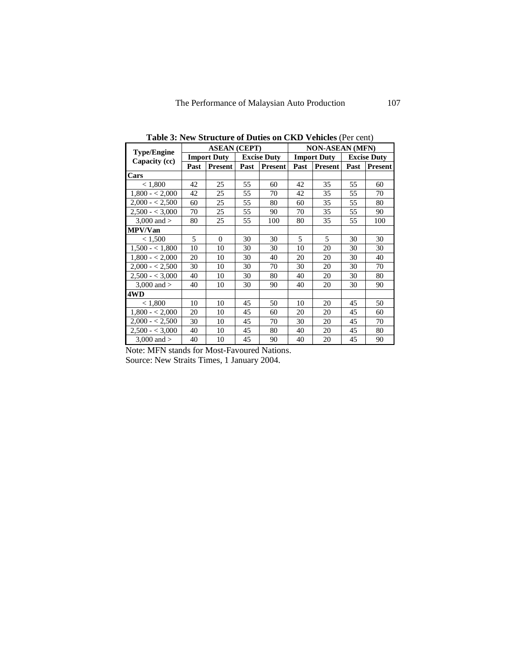|                    |      | <b>ASEAN (CEPT)</b> |      |                    | <b>NON-ASEAN (MFN)</b> |                    |      |                    |  |  |  |
|--------------------|------|---------------------|------|--------------------|------------------------|--------------------|------|--------------------|--|--|--|
| <b>Type/Engine</b> |      | <b>Import Duty</b>  |      | <b>Excise Duty</b> |                        | <b>Import Duty</b> |      | <b>Excise Duty</b> |  |  |  |
| Capacity (cc)      | Past | Present             | Past | <b>Present</b>     | Past                   | <b>Present</b>     | Past | Present            |  |  |  |
| Cars               |      |                     |      |                    |                        |                    |      |                    |  |  |  |
| < 1,800            | 42   | 25                  | 55   | 60                 | 42                     | 35                 | 55   | 60                 |  |  |  |
| $1,800 - 2,000$    | 42   | 25                  | 55   | 70                 | 42                     | 35                 | 55   | 70                 |  |  |  |
| $2,000 - 2,500$    | 60   | 25                  | 55   | 80                 | 60                     | 35                 | 55   | 80                 |  |  |  |
| $2,500 - 3,000$    | 70   | 25                  | 55   | 90                 | 70                     | 35                 | 55   | 90                 |  |  |  |
| 3,000 and $>$      | 80   | 25                  | 55   | 100                | 80                     | 35                 | 55   | 100                |  |  |  |
| <b>MPV/Van</b>     |      |                     |      |                    |                        |                    |      |                    |  |  |  |
| < 1,500            | 5    | $\Omega$            | 30   | 30                 | $\overline{5}$         | $\overline{5}$     | 30   | 30                 |  |  |  |
| $1,500 - 1,800$    | 10   | 10                  | 30   | 30                 | 10                     | 20                 | 30   | 30                 |  |  |  |
| $1,800 - 2,000$    | 20   | 10                  | 30   | 40                 | 20                     | 20                 | 30   | 40                 |  |  |  |
| $2,000 - 2,500$    | 30   | 10                  | 30   | 70                 | 30                     | 20                 | 30   | 70                 |  |  |  |
| $2,500 - 3,000$    | 40   | 10                  | 30   | 80                 | 40                     | 20                 | 30   | 80                 |  |  |  |
| 3,000 and $>$      | 40   | 10                  | 30   | 90                 | 40                     | 20                 | 30   | 90                 |  |  |  |
| 4WD                |      |                     |      |                    |                        |                    |      |                    |  |  |  |
| < 1,800            | 10   | 10                  | 45   | 50                 | 10                     | 20                 | 45   | 50                 |  |  |  |
| $1,800 - 2,000$    | 20   | 10                  | 45   | 60                 | 20                     | 20                 | 45   | 60                 |  |  |  |
| $2,000 - 2,500$    | 30   | 10                  | 45   | 70                 | 30                     | 20                 | 45   | 70                 |  |  |  |
| $2,500 - 3,000$    | 40   | 10                  | 45   | 80                 | 40                     | 20                 | 45   | 80                 |  |  |  |
| 3,000 and $>$      | 40   | 10                  | 45   | 90                 | 40                     | 20                 | 45   | 90                 |  |  |  |

**Table 3: New Structure of Duties on CKD Vehicles** (Per cent)

Note: MFN stands for Most-Favoured Nations. Source: New Straits Times, 1 January 2004.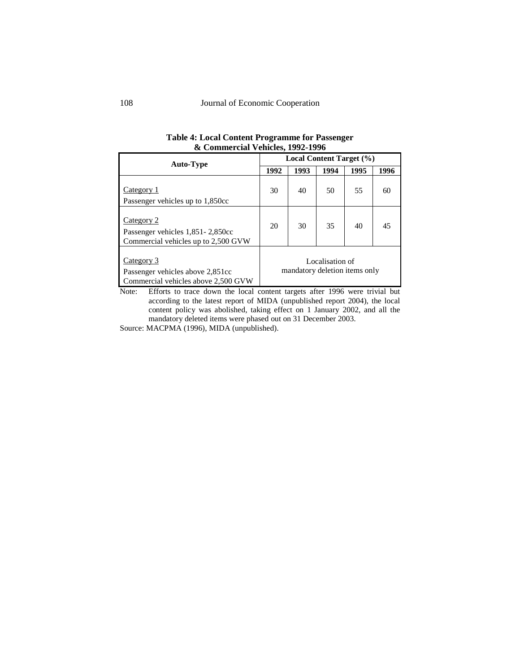| <b>Auto-Type</b>                                                                      |      | Local Content Target (%)      |                 |      |      |
|---------------------------------------------------------------------------------------|------|-------------------------------|-----------------|------|------|
|                                                                                       | 1992 | 1993                          | 1994            | 1995 | 1996 |
| Category 1<br>Passenger vehicles up to 1,850cc                                        | 30   | 40                            | 50              | 55   | 60   |
| Category 2<br>Passenger vehicles 1,851-2,850cc<br>Commercial vehicles up to 2,500 GVW | 20   | 30                            | 35              | 40   | 45   |
| Category 3<br>Passenger vehicles above 2,851cc<br>Commercial vehicles above 2,500 GVW |      | mandatory deletion items only | Localisation of |      |      |

**Table 4: Local Content Programme for Passenger & Commercial Vehicles, 1992-1996** 

Note: Efforts to trace down the local content targets after 1996 were trivial but according to the latest report of MIDA (unpublished report 2004), the local content policy was abolished, taking effect on 1 January 2002, and all the mandatory deleted items were phased out on 31 December 2003.

Source: MACPMA (1996), MIDA (unpublished).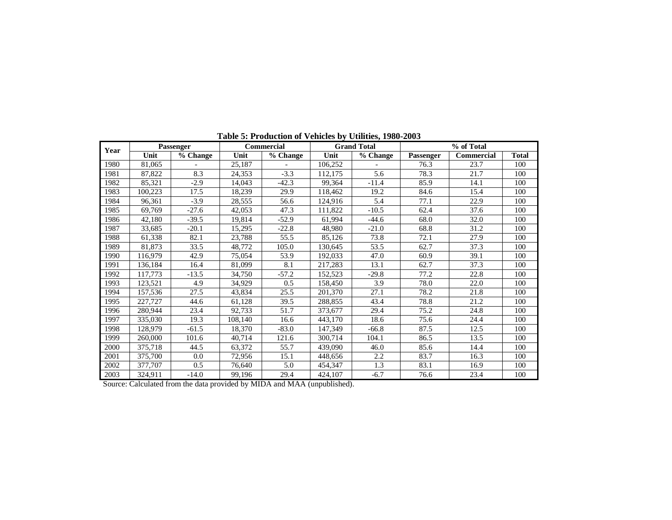| Year |         | Passenger |         | <b>Commercial</b> |         | <b>Grand Total</b> |           | % of Total        |              |
|------|---------|-----------|---------|-------------------|---------|--------------------|-----------|-------------------|--------------|
|      | Unit    | % Change  | Unit    | % Change          | Unit    | % Change           | Passenger | <b>Commercial</b> | <b>Total</b> |
| 1980 | 81,065  |           | 25,187  |                   | 106,252 |                    | 76.3      | 23.7              | 100          |
| 1981 | 87,822  | 8.3       | 24,353  | $-3.3$            | 112,175 | 5.6                | 78.3      | 21.7              | 100          |
| 1982 | 85,321  | $-2.9$    | 14,043  | $-42.3$           | 99,364  | $-11.4$            |           | 14.1              | 100          |
| 1983 | 100,223 | 17.5      | 18,239  | 29.9              | 118,462 | 19.2               | 84.6      | 15.4              | 100          |
| 1984 | 96,361  | $-3.9$    | 28,555  | 56.6              | 124,916 | 5.4                | 77.1      | 22.9              | 100          |
| 1985 | 69,769  | $-27.6$   | 42,053  | 47.3              | 111,822 | $-10.5$            | 62.4      | 37.6              | 100          |
| 1986 | 42,180  | $-39.5$   | 19,814  | $-52.9$           | 61,994  | $-44.6$            | 68.0      | 32.0              | 100          |
| 1987 | 33,685  | $-20.1$   | 15,295  | $-22.8$           | 48,980  | $-21.0$            | 68.8      | 31.2              | 100          |
| 1988 | 61,338  | 82.1      | 23,788  | 55.5              | 85,126  | 73.8               | 72.1      | 27.9              | 100          |
| 1989 | 81,873  | 33.5      | 48,772  | 105.0             | 130,645 | 53.5               |           | 37.3              | 100          |
| 1990 | 116,979 | 42.9      | 75,054  | 53.9              | 192,033 | 47.0               | 60.9      | 39.1              | 100          |
| 1991 | 136,184 | 16.4      | 81,099  | 8.1               | 217,283 | 13.1               | 62.7      | 37.3              | 100          |
| 1992 | 117,773 | $-13.5$   | 34,750  | $-57.2$           | 152,523 | $-29.8$            | 77.2      | 22.8              | 100          |
| 1993 | 123,521 | 4.9       | 34,929  | 0.5               | 158,450 | 3.9                | 78.0      | 22.0              | 100          |
| 1994 | 157,536 | 27.5      | 43,834  | 25.5              | 201,370 | 27.1               | 78.2      | 21.8              | 100          |
| 1995 | 227,727 | 44.6      | 61.128  | 39.5              | 288,855 | 43.4               | 78.8      | 21.2              | 100          |
| 1996 | 280,944 | 23.4      | 92,733  | 51.7              | 373,677 | 29.4               | 75.2      | 24.8              | 100          |
| 1997 | 335,030 | 19.3      | 108,140 | 16.6              | 443,170 | 18.6               | 75.6      | 24.4              | 100          |
| 1998 | 128.979 | $-61.5$   | 18,370  | $-83.0$           | 147,349 | $-66.8$            | 87.5      | 12.5              | 100          |
| 1999 | 260,000 | 101.6     | 40,714  | 121.6             | 300,714 | 104.1              | 86.5      | 13.5              | 100          |
| 2000 | 375,718 | 44.5      | 63,372  | 55.7              | 439,090 | 46.0               | 85.6      | 14.4              | 100          |
| 2001 | 375,700 | 0.0       | 72,956  | 15.1              | 448,656 | 2.2                | 83.7      | 16.3              | 100          |
| 2002 | 377,707 | 0.5       | 76,640  | 5.0               | 454,347 | 1.3                | 83.1      | 16.9              | 100          |
| 2003 | 324,911 | $-14.0$   | 99,196  | 29.4              | 424,107 | $-6.7$             | 76.6      | 23.4              | 100          |

**Table 5: Production of Vehicles by Utilities, 1980-2003** 

Source: Calculated from the data provided by MIDA and MAA (unpublished).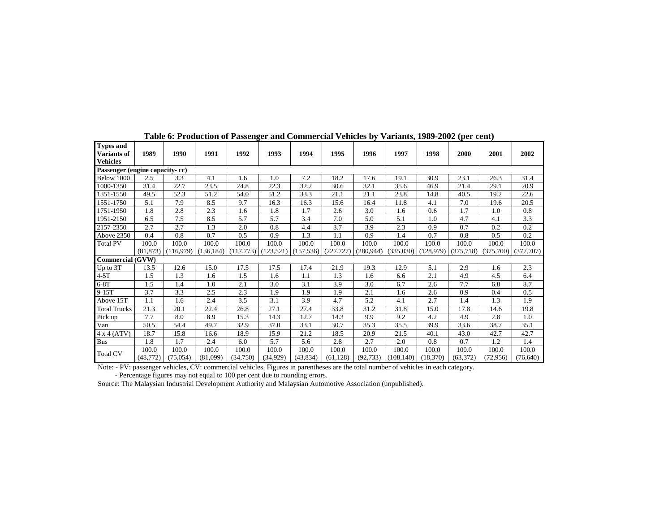| <b>Types and</b><br>Variants of | 1989      | 1990      | 1991       | 1992     | 1993                  | 1994       | 1995       | 1996       | 1997       | 1998      | 2000      | 2001                    | 2002      |
|---------------------------------|-----------|-----------|------------|----------|-----------------------|------------|------------|------------|------------|-----------|-----------|-------------------------|-----------|
| <b>Vehicles</b>                 |           |           |            |          |                       |            |            |            |            |           |           |                         |           |
| Passenger (engine capacity-cc)  |           |           |            |          |                       |            |            |            |            |           |           |                         |           |
| Below 1000                      | 2.5       | 3.3       | 4.1        | 1.6      | 1.0                   | 7.2        | 18.2       | 17.6       | 19.1       | 30.9      | 23.1      | 26.3                    | 31.4      |
| 1000-1350                       | 31.4      | 22.7      | 23.5       | 24.8     | 22.3                  | 32.2       | 30.6       | 32.1       | 35.6       | 46.9      | 21.4      | 29.1                    | 20.9      |
| 1351-1550                       | 49.5      | 52.3      | 51.2       | 54.0     | 51.2                  | 33.3       | 21.1       | 21.1       | 23.8       | 14.8      | 40.5      | 19.2                    | 22.6      |
| 1551-1750                       | 5.1       | 7.9       | 8.5        | 9.7      | 16.3                  | 16.3       | 15.6       | 16.4       | 11.8       | 4.1       | 7.0       | 19.6                    | 20.5      |
| 1751-1950                       | 1.8       | 2.8       | 2.3        | 1.6      | 1.8                   | 1.7        | 2.6        | 3.0        | 1.6        | 0.6       | 1.7       | 1.0                     | 0.8       |
| 1951-2150                       | 6.5       | 7.5       | 8.5        | 5.7      | 5.7                   | 3.4        | 7.0        | 5.0        | 5.1        | 1.0       | 4.7       | 4.1                     | 3.3       |
| 2157-2350                       | 2.7       | 2.7       | 1.3        | 2.0      | 0.8                   | 4.4        | 3.7        | 3.9        | 2.3        | 0.9       | 0.7       | 0.2                     | 0.2       |
| Above 2350                      | 0.4       | 0.8       | 0.7        | 0.5      | 0.9                   | 1.3        | 1.1        | 0.9        | 1.4        | 0.7       | 0.8       | 0.5                     | 0.2       |
| <b>Total PV</b>                 | 100.0     | 100.0     | 100.0      | 100.0    | 100.0                 | 100.0      | 100.0      | 100.0      | 100.0      | 100.0     | 100.0     | 100.0                   | 100.0     |
|                                 | (81.873)  | (116.979) | (136, 184) |          | $(117,773)$ (123,521) | (157, 536) | (227, 727) | (280, 944) | (335,030)  | (128,979) |           | $(375,718)$ $(375,700)$ | (377,707) |
| <b>Commercial (GVW)</b>         |           |           |            |          |                       |            |            |            |            |           |           |                         |           |
| Up to 3T                        | 13.5      | 12.6      | 15.0       | 17.5     | 17.5                  | 17.4       | 21.9       | 19.3       | 12.9       | 5.1       | 2.9       | 1.6                     | 2.3       |
| $4-5T$                          | 1.5       | 1.3       | 1.6        | 1.5      | 1.6                   | 1.1        | 1.3        | 1.6        | 6.6        | 2.1       | 4.9       | 4.5                     | 6.4       |
| $6-8T$                          | 1.5       | 1.4       | 1.0        | 2.1      | 3.0                   | 3.1        | 3.9        | 3.0        | 6.7        | 2.6       | 7.7       | 6.8                     | 8.7       |
| $9-15T$                         | 3.7       | 3.3       | 2.5        | 2.3      | 1.9                   | 1.9        | 1.9        | 2.1        | 1.6        | 2.6       | 0.9       | 0.4                     | 0.5       |
| Above 15T                       | 1.1       | 1.6       | 2.4        | 3.5      | 3.1                   | 3.9        | 4.7        | 5.2        | 4.1        | 2.7       | 1.4       | 1.3                     | 1.9       |
| <b>Total Trucks</b>             | 21.3      | 20.1      | 22.4       | 26.8     | 27.1                  | 27.4       | 33.8       | 31.2       | 31.8       | 15.0      | 17.8      | 14.6                    | 19.8      |
| Pick up                         | 7.7       | 8.0       | 8.9        | 15.3     | 14.3                  | 12.7       | 14.3       | 9.9        | 9.2        | 4.2       | 4.9       | 2.8                     | 1.0       |
| Van                             | 50.5      | 54.4      | 49.7       | 32.9     | 37.0                  | 33.1       | 30.7       | 35.3       | 35.5       | 39.9      | 33.6      | 38.7                    | 35.1      |
| $4 \times 4$ (ATV)              | 18.7      | 15.8      | 16.6       | 18.9     | 15.9                  | 21.2       | 18.5       | 20.9       | 21.5       | 40.1      | 43.0      | 42.7                    | 42.7      |
| Bus                             | 1.8       | 1.7       | 2.4        | 6.0      | 5.7                   | 5.6        | 2.8        | 2.7        | 2.0        | 0.8       | 0.7       | 1.2                     | 1.4       |
| Total CV                        | 100.0     | 100.0     | 100.0      | 100.0    | 100.0                 | 100.0      | 100.0      | 100.0      | 100.0      | 100.0     | 100.0     | 100.0                   | 100.0     |
|                                 | (48, 772) | (75, 054) | (81,099)   | (34,750) | (34, 929)             | (43, 834)  | (61, 128)  | (92, 733)  | (108, 140) | (18,370)  | (63, 372) | (72,956)                | (76, 640) |

**Table 6: Production of Passenger and Commercial Vehicles by Variants, 1989-2002 (per cent)** 

Note: - PV: passenger vehicles, CV: commercial vehicles. Figures in parentheses are the total number of vehicles in each category.

- Percentage figures may not equal to 100 per cent due to rounding errors. Source: The Malaysian Industrial Development Authority and Malaysian Automotive Association (unpublished).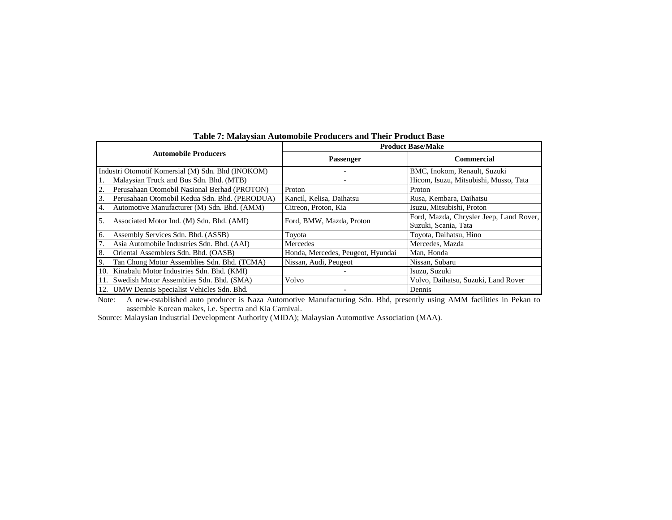|     |                                                   |                                   | <b>Product Base/Make</b>                |
|-----|---------------------------------------------------|-----------------------------------|-----------------------------------------|
|     | <b>Automobile Producers</b>                       | <b>Passenger</b>                  | <b>Commercial</b>                       |
|     | Industri Otomotif Komersial (M) Sdn. Bhd (INOKOM) |                                   | BMC, Inokom, Renault, Suzuki            |
|     | Malaysian Truck and Bus Sdn. Bhd. (MTB)           |                                   | Hicom, Isuzu, Mitsubishi, Musso, Tata   |
| 2.  | Perusahaan Otomobil Nasional Berhad (PROTON)      | Proton                            | Proton                                  |
| 3.  | Perusahaan Otomobil Kedua Sdn. Bhd. (PERODUA)     | Kancil, Kelisa, Daihatsu          | Rusa, Kembara, Daihatsu                 |
| 4.  | Automotive Manufacturer (M) Sdn. Bhd. (AMM)       | Citreon, Proton, Kia              | Isuzu, Mitsubishi, Proton               |
| 5.  | Associated Motor Ind. (M) Sdn. Bhd. (AMI)         | Ford, BMW, Mazda, Proton          | Ford, Mazda, Chrysler Jeep, Land Rover, |
|     |                                                   |                                   | Suzuki, Scania, Tata                    |
| 6.  | Assembly Services Sdn. Bhd. (ASSB)                | Tovota                            | Toyota, Daihatsu, Hino                  |
|     | Asia Automobile Industries Sdn. Bhd. (AAI)        | Mercedes                          | Mercedes, Mazda                         |
| 8.  | Oriental Assemblers Sdn. Bhd. (OASB)              | Honda, Mercedes, Peugeot, Hyundai | Man, Honda                              |
| 9.  | Tan Chong Motor Assemblies Sdn. Bhd. (TCMA)       | Nissan, Audi, Peugeot             | Nissan, Subaru                          |
| 10. | Kinabalu Motor Industries Sdn. Bhd. (KMI)         |                                   | Isuzu, Suzuki                           |
|     | Swedish Motor Assemblies Sdn. Bhd. (SMA)          | Volvo                             | Volvo, Daihatsu, Suzuki, Land Rover     |
|     | 12. UMW Dennis Specialist Vehicles Sdn. Bhd.      |                                   | Dennis                                  |

**Table 7: Malaysian Automobile Producers and Their Product Base** 

Note: A new-established auto producer is Naza Automotive Manufacturing Sdn. Bhd, presently using AMM facilities in Pekan to<br>assemble Korean makes, i.e. Spectra and Kia Carnival.<br>Source: Malaysian Industrial Development Aut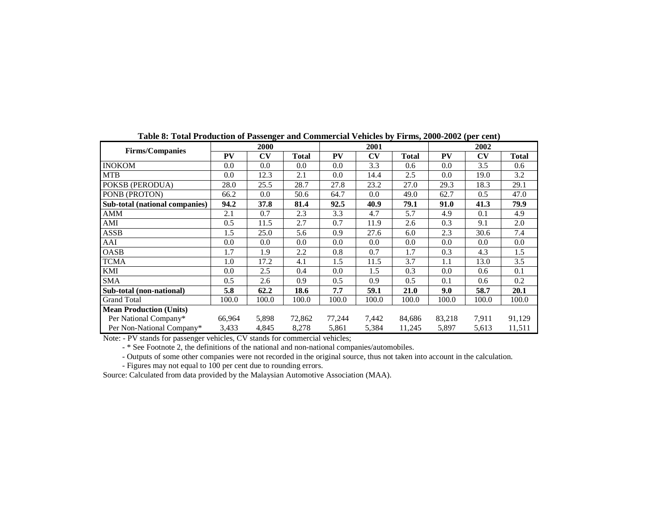| <b>Firms/Companies</b>         |           | 2000                   |              |           | 2001                   |        |         | 2002                   |              |
|--------------------------------|-----------|------------------------|--------------|-----------|------------------------|--------|---------|------------------------|--------------|
|                                | <b>PV</b> | $\mathbf{C}\mathbf{V}$ | <b>Total</b> | <b>PV</b> | $\mathbf{C}\mathbf{V}$ | Total  | PV      | $\mathbf{C}\mathbf{V}$ | <b>Total</b> |
| <b>INOKOM</b>                  | 0.0       | 0.0                    | 0.0          | 0.0       | 3.3                    | 0.6    | 0.0     | 3.5                    | 0.6          |
| <b>MTB</b>                     | 0.0       | 12.3                   | 2.1          | 0.0       | 14.4                   | 2.5    | $0.0\,$ | 19.0                   | 3.2          |
| POKSB (PERODUA)                | 28.0      | 25.5                   | 28.7         | 27.8      | 23.2                   | 27.0   | 29.3    | 18.3                   | 29.1         |
| PONB (PROTON)                  | 66.2      | 0.0                    | 50.6         | 64.7      | 0.0                    | 49.0   | 62.7    | 0.5                    | 47.0         |
| Sub-total (national companies) | 94.2      | 37.8                   | 81.4         | 92.5      | 40.9                   | 79.1   | 91.0    | 41.3                   | 79.9         |
| AMM                            | 2.1       | 0.7                    | 2.3          | 3.3       | 4.7                    | 5.7    | 4.9     | 0.1                    | 4.9          |
| AMI                            | 0.5       | 11.5                   | 2.7          | 0.7       | 11.9                   | 2.6    | 0.3     | 9.1                    | 2.0          |
| <b>ASSB</b>                    | 1.5       | 25.0                   | 5.6          | 0.9       | 27.6                   | 6.0    | 2.3     | 30.6                   | 7.4          |
| AAI                            | 0.0       | 0.0                    | 0.0          | 0.0       | 0.0                    | 0.0    | 0.0     | 0.0                    | 0.0          |
| OASB                           | 1.7       | 1.9                    | 2.2          | 0.8       | 0.7                    | 1.7    | 0.3     | 4.3                    | 1.5          |
| <b>TCMA</b>                    | 1.0       | 17.2                   | 4.1          | 1.5       | 11.5                   | 3.7    | 1.1     | 13.0                   | 3.5          |
| KMI                            | 0.0       | 2.5                    | 0.4          | 0.0       | 1.5                    | 0.3    | 0.0     | 0.6                    | 0.1          |
| SMA                            | 0.5       | 2.6                    | 0.9          | 0.5       | 0.9                    | 0.5    | 0.1     | 0.6                    | 0.2          |
| Sub-total (non-national)       | 5.8       | 62.2                   | 18.6         | 7.7       | 59.1                   | 21.0   | 9.0     | 58.7                   | 20.1         |
| <b>Grand Total</b>             | 100.0     | 100.0                  | 100.0        | 100.0     | 100.0                  | 100.0  | 100.0   | 100.0                  | 100.0        |
| <b>Mean Production (Units)</b> |           |                        |              |           |                        |        |         |                        |              |
| Per National Company*          | 66,964    | 5,898                  | 72,862       | 77,244    | 7,442                  | 84,686 | 83,218  | 7,911                  | 91,129       |
| Per Non-National Company*      | 3,433     | 4,845                  | 8,278        | 5,861     | 5,384                  | 11,245 | 5,897   | 5,613                  | 11,511       |

**Table 8: Total Production of Passenger and Commercial Vehicles by Firms, 2000-2002 (per cent)** 

Note: - PV stands for passenger vehicles, CV stands for commercial vehicles;

- \* See Footnote 2, the definitions of the national and non-national companies/automobiles.

- Outputs of some other companies were not recorded in the original source, thus not taken into account in the calculation.

- Figures may not equal to 100 per cent due to rounding errors.

Source: Calculated from data provided by the Malaysian Automotive Association (MAA).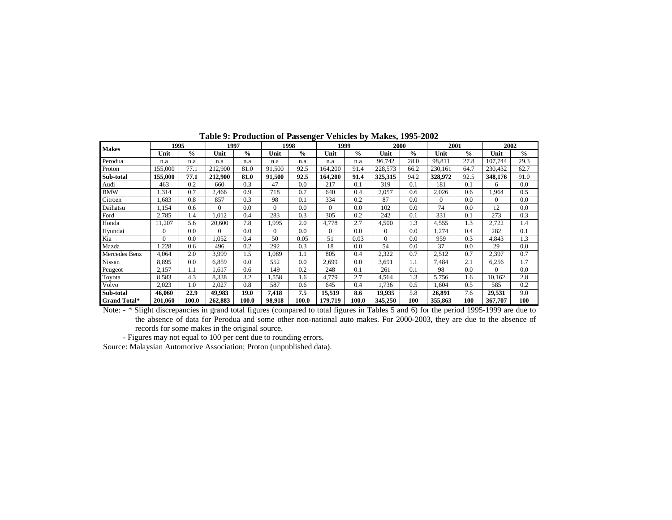| <b>Makes</b>        | 1995     |               | 1997     |               | 1998     |               | 1999     |               | 2000     |               | 2001     |               | 2002        |               |
|---------------------|----------|---------------|----------|---------------|----------|---------------|----------|---------------|----------|---------------|----------|---------------|-------------|---------------|
|                     | Unit     | $\frac{0}{0}$ | Unit     | $\frac{0}{0}$ | Unit     | $\frac{0}{0}$ | Unit     | $\frac{0}{0}$ | Unit     | $\frac{0}{0}$ | Unit     | $\frac{0}{0}$ | Unit        | $\frac{0}{0}$ |
| Perodua             | n.a      | n.a           | n.a      | n.a           | n.a      | n.a           | n.a      | n.a           | 96.742   | 28.0          | 98.811   | 27.8          | 107.744     | 29.3          |
| Proton              | 155,000  | 77.1          | 212,900  | 81.0          | 91,500   | 92.5          | 164.200  | 91.4          | 228,573  | 66.2          | 230.161  | 64.7          | 230.432     | 62.7          |
| Sub-total           | 155,000  | 77.1          | 212,900  | 81.0          | 91,500   | 92.5          | 164,200  | 91.4          | 325,315  | 94.2          | 328,972  | 92.5          | 348,176     | 91.0          |
| Audi                | 463      | 0.2           | 660      | 0.3           | 47       | 0.0           | 217      | 0.1           | 319      | 0.1           | 181      | 0.1           | 6           | 0.0           |
| <b>BMW</b>          | 1,314    | 0.7           | 2.466    | 0.9           | 718      | 0.7           | 640      | 0.4           | 2,057    | 0.6           | 2,026    | 0.6           | <b>964.</b> | 0.5           |
| Citroen             | .683     | 0.8           | 857      | 0.3           | 98       | 0.1           | 334      | 0.2           | 87       | 0.0           | $\Omega$ | 0.0           | $\Omega$    | 0.0           |
| Daihatsu            | 1,154    | 0.6           | $\Omega$ | 0.0           | $\Omega$ | 0.0           | $\Omega$ | 0.0           | 102      | 0.0           | 74       | 0.0           | 12          | 0.0           |
| Ford                | 2,785    | 1.4           | .012     | 0.4           | 283      | 0.3           | 305      | 0.2           | 242      | 0.1           | 331      | 0.1           | 273         | 0.3           |
| Honda               | 11,207   | 5.6           | 20,600   | 7.8           | 1.995    | 2.0           | 4,778    | 2.7           | 4,500    | 1.3           | 4,555    | 1.3           | 2,722       | 1.4           |
| Hyundai             | $\Omega$ | 0.0           | $\Omega$ | 0.0           | $\Omega$ | 0.0           | $\Omega$ | 0.0           | $\Omega$ | 0.0           | 1,274    | 0.4           | 282         | 0.1           |
| Kia                 | $\theta$ | 0.0           | ,052     | 0.4           | 50       | 0.05          | 51       | 0.03          | $\Omega$ | 0.0           | 959      | 0.3           | 4,843       | 1.3           |
| Mazda               | .228     | 0.6           | 496      | 0.2           | 292      | 0.3           | 18       | 0.0           | 54       | 0.0           | 37       | 0.0           | 29          | 0.0           |
| Mercedes Benz       | 4,064    | 2.0           | 3,999    | 1.5           | 1,089    | 1.1           | 805      | 0.4           | 2,322    | 0.7           | 2,512    | 0.7           | 2,397       | 0.7           |
| Nissan              | 8,895    | 0.0           | 6,859    | 0.0           | 552      | 0.0           | 2,699    | 0.0           | 3,691    | 1.1           | 7.484    | 2.1           | 6,256       | 1.7           |
| Peugeot             | 2,157    | 1.1           | .617     | 0.6           | 149      | 0.2           | 248      | 0.1           | 261      | 0.1           | 98       | 0.0           | $\Omega$    | 0.0           |
| Toyota              | 8.583    | 4.3           | 8,338    | 3.2           | 1,558    | 1.6           | 4,779    | 2.7           | 4,564    | 1.3           | 5,756    | 1.6           | 10,162      | 2.8           |
| Volvo               | 2,023    | 1.0           | 2,027    | 0.8           | 587      | 0.6           | 645      | 0.4           | 1,736    | 0.5           | 1,604    | 0.5           | 585         | 0.2           |
| Sub-total           | 46,060   | 22.9          | 49.983   | 19.0          | 7,418    | 7.5           | 15,519   | 8.6           | 19,935   | 5.8           | 26,891   | 7.6           | 29,531      | 9.0           |
| <b>Grand Total*</b> | 201,060  | 100.0         | 262,883  | 100.0         | 98.918   | 100.0         | 179,719  | 100.0         | 345,250  | 100           | 355,863  | 100           | 367,707     | 100           |

**Table 9: Production of Passenger Vehicles by Makes, 1995-2002** 

Note: - \* Slight discrepancies in grand total figures (compared to total figures in Tables 5 and 6) for the period 1995-1999 are due to the absence of data for Perodua and some other non-national auto makes. For 2000-2003, they are due to the absence of records for some makes in the original source.

- Figures may not equal to 100 per cent due to rounding errors.

Source: Malaysian Automotive Association; Proton (unpublished data).